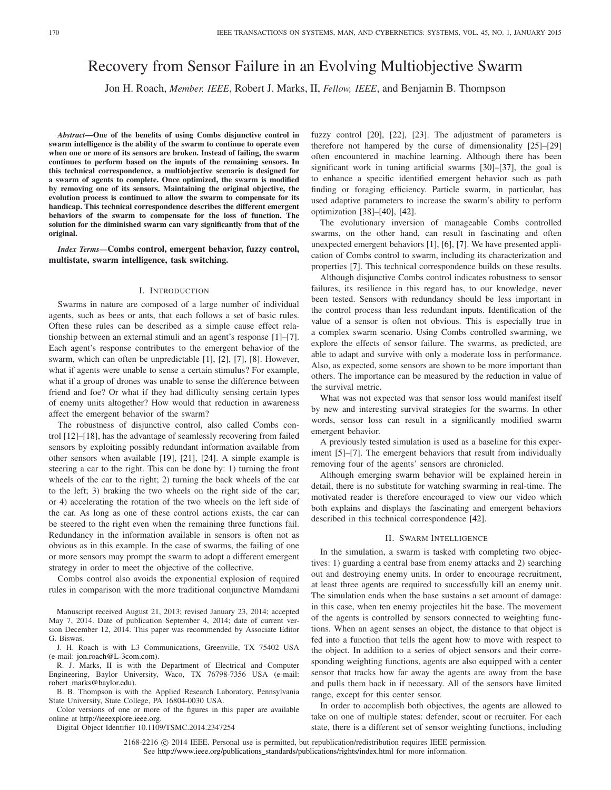# Recovery from Sensor Failure in an Evolving Multiobjective Swarm

Jon H. Roach, *Member, IEEE*, Robert J. Marks, II, *Fellow, IEEE*, and Benjamin B. Thompson

*Abstract***—One of the benefits of using Combs disjunctive control in swarm intelligence is the ability of the swarm to continue to operate even when one or more of its sensors are broken. Instead of failing, the swarm continues to perform based on the inputs of the remaining sensors. In this technical correspondence, a multiobjective scenario is designed for a swarm of agents to complete. Once optimized, the swarm is modified by removing one of its sensors. Maintaining the original objective, the evolution process is continued to allow the swarm to compensate for its handicap. This technical correspondence describes the different emergent behaviors of the swarm to compensate for the loss of function. The solution for the diminished swarm can vary significantly from that of the original.**

*Index Terms***—Combs control, emergent behavior, fuzzy control, multistate, swarm intelligence, task switching.**

# I. INTRODUCTION

Swarms in nature are composed of a large number of individual agents, such as bees or ants, that each follows a set of basic rules. Often these rules can be described as a simple cause effect relationship between an external stimuli and an agent's response [1]–[7]. Each agent's response contributes to the emergent behavior of the swarm, which can often be unpredictable [1], [2], [7], [8]. However, what if agents were unable to sense a certain stimulus? For example, what if a group of drones was unable to sense the difference between friend and foe? Or what if they had difficulty sensing certain types of enemy units altogether? How would that reduction in awareness affect the emergent behavior of the swarm?

The robustness of disjunctive control, also called Combs control [12]–[18], has the advantage of seamlessly recovering from failed sensors by exploiting possibly redundant information available from other sensors when available [19], [21], [24]. A simple example is steering a car to the right. This can be done by: 1) turning the front wheels of the car to the right; 2) turning the back wheels of the car to the left; 3) braking the two wheels on the right side of the car; or 4) accelerating the rotation of the two wheels on the left side of the car. As long as one of these control actions exists, the car can be steered to the right even when the remaining three functions fail. Redundancy in the information available in sensors is often not as obvious as in this example. In the case of swarms, the failing of one or more sensors may prompt the swarm to adopt a different emergent strategy in order to meet the objective of the collective.

Combs control also avoids the exponential explosion of required rules in comparison with the more traditional conjunctive Mamdami

Manuscript received August 21, 2013; revised January 23, 2014; accepted May 7, 2014. Date of publication September 4, 2014; date of current version December 12, 2014. This paper was recommended by Associate Editor G. Biswas.

J. H. Roach is with L3 Communications, Greenville, TX 75402 USA (e-mail: jon.roach@L-3com.com).

R. J. Marks, II is with the Department of Electrical and Computer Engineering, Baylor University, Waco, TX 76798-7356 USA (e-mail: robert\_marks@baylor.edu).

B. B. Thompson is with the Applied Research Laboratory, Pennsylvania State University, State College, PA 16804-0030 USA.

Color versions of one or more of the figures in this paper are available online at http://ieeexplore*.*ieee*.*org.

Digital Object Identifier 10.1109/TSMC.2014.2347254

fuzzy control [20], [22], [23]. The adjustment of parameters is therefore not hampered by the curse of dimensionality [25]–[29] often encountered in machine learning. Although there has been significant work in tuning artificial swarms [30]–[37], the goal is to enhance a specific identified emergent behavior such as path finding or foraging efficiency. Particle swarm, in particular, has used adaptive parameters to increase the swarm's ability to perform optimization [38]–[40], [42].

The evolutionary inversion of manageable Combs controlled swarms, on the other hand, can result in fascinating and often unexpected emergent behaviors [1], [6], [7]. We have presented application of Combs control to swarm, including its characterization and properties [7]. This technical correspondence builds on these results.

Although disjunctive Combs control indicates robustness to sensor failures, its resilience in this regard has, to our knowledge, never been tested. Sensors with redundancy should be less important in the control process than less redundant inputs. Identification of the value of a sensor is often not obvious. This is especially true in a complex swarm scenario. Using Combs controlled swarming, we explore the effects of sensor failure. The swarms, as predicted, are able to adapt and survive with only a moderate loss in performance. Also, as expected, some sensors are shown to be more important than others. The importance can be measured by the reduction in value of the survival metric.

What was not expected was that sensor loss would manifest itself by new and interesting survival strategies for the swarms. In other words, sensor loss can result in a significantly modified swarm emergent behavior.

A previously tested simulation is used as a baseline for this experiment [5]–[7]. The emergent behaviors that result from individually removing four of the agents' sensors are chronicled.

Although emerging swarm behavior will be explained herein in detail, there is no substitute for watching swarming in real-time. The motivated reader is therefore encouraged to view our video which both explains and displays the fascinating and emergent behaviors described in this technical correspondence [42].

## II. SWARM INTELLIGENCE

In the simulation, a swarm is tasked with completing two objectives: 1) guarding a central base from enemy attacks and 2) searching out and destroying enemy units. In order to encourage recruitment, at least three agents are required to successfully kill an enemy unit. The simulation ends when the base sustains a set amount of damage: in this case, when ten enemy projectiles hit the base. The movement of the agents is controlled by sensors connected to weighting functions. When an agent senses an object, the distance to that object is fed into a function that tells the agent how to move with respect to the object. In addition to a series of object sensors and their corresponding weighting functions, agents are also equipped with a center sensor that tracks how far away the agents are away from the base and pulls them back in if necessary. All of the sensors have limited range, except for this center sensor.

In order to accomplish both objectives, the agents are allowed to take on one of multiple states: defender, scout or recruiter. For each state, there is a different set of sensor weighting functions, including

2168-2216  $\odot$  2014 IEEE. Personal use is permitted, but republication/redistribution requires IEEE permission. See http://www.ieee.org/publications\_standards/publications/rights/index.html for more information.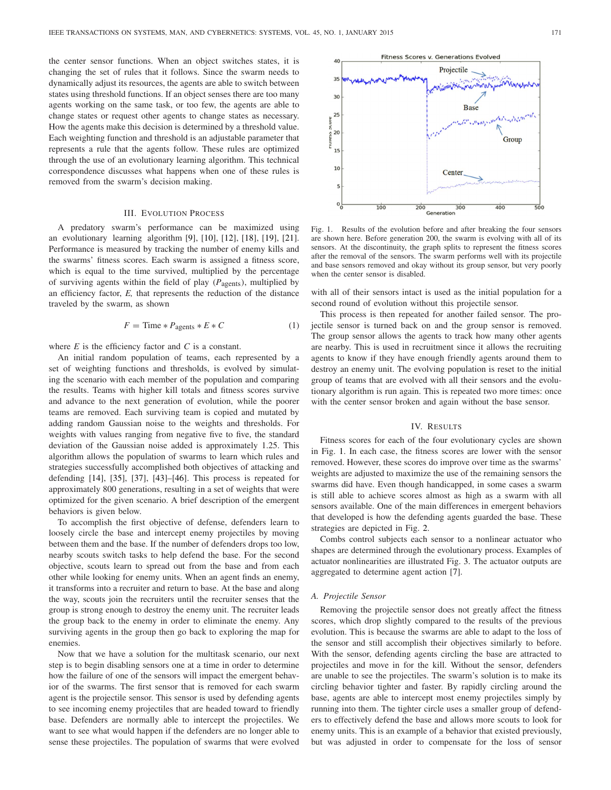the center sensor functions. When an object switches states, it is changing the set of rules that it follows. Since the swarm needs to dynamically adjust its resources, the agents are able to switch between states using threshold functions. If an object senses there are too many agents working on the same task, or too few, the agents are able to change states or request other agents to change states as necessary. How the agents make this decision is determined by a threshold value. Each weighting function and threshold is an adjustable parameter that represents a rule that the agents follow. These rules are optimized through the use of an evolutionary learning algorithm. This technical correspondence discusses what happens when one of these rules is removed from the swarm's decision making.

## III. EVOLUTION PROCESS

A predatory swarm's performance can be maximized using an evolutionary learning algorithm [9], [10], [12], [18], [19], [21]. Performance is measured by tracking the number of enemy kills and the swarms' fitness scores. Each swarm is assigned a fitness score, which is equal to the time survived, multiplied by the percentage of surviving agents within the field of play *(P*agents*)*, multiplied by an efficiency factor, *E,* that represents the reduction of the distance traveled by the swarm, as shown

$$
F = \text{Time} * P_{\text{agents}} * E * C \tag{1}
$$

where  $E$  is the efficiency factor and  $C$  is a constant.

An initial random population of teams, each represented by a set of weighting functions and thresholds, is evolved by simulating the scenario with each member of the population and comparing the results. Teams with higher kill totals and fitness scores survive and advance to the next generation of evolution, while the poorer teams are removed. Each surviving team is copied and mutated by adding random Gaussian noise to the weights and thresholds. For weights with values ranging from negative five to five, the standard deviation of the Gaussian noise added is approximately 1.25. This algorithm allows the population of swarms to learn which rules and strategies successfully accomplished both objectives of attacking and defending [14], [35], [37], [43]–[46]. This process is repeated for approximately 800 generations, resulting in a set of weights that were optimized for the given scenario. A brief description of the emergent behaviors is given below.

To accomplish the first objective of defense, defenders learn to loosely circle the base and intercept enemy projectiles by moving between them and the base. If the number of defenders drops too low, nearby scouts switch tasks to help defend the base. For the second objective, scouts learn to spread out from the base and from each other while looking for enemy units. When an agent finds an enemy, it transforms into a recruiter and return to base. At the base and along the way, scouts join the recruiters until the recruiter senses that the group is strong enough to destroy the enemy unit. The recruiter leads the group back to the enemy in order to eliminate the enemy. Any surviving agents in the group then go back to exploring the map for enemies.

Now that we have a solution for the multitask scenario, our next step is to begin disabling sensors one at a time in order to determine how the failure of one of the sensors will impact the emergent behavior of the swarms. The first sensor that is removed for each swarm agent is the projectile sensor. This sensor is used by defending agents to see incoming enemy projectiles that are headed toward to friendly base. Defenders are normally able to intercept the projectiles. We want to see what would happen if the defenders are no longer able to sense these projectiles. The population of swarms that were evolved



Fig. 1. Results of the evolution before and after breaking the four sensors are shown here. Before generation 200, the swarm is evolving with all of its sensors. At the discontinuity, the graph splits to represent the fitness scores after the removal of the sensors. The swarm performs well with its projectile and base sensors removed and okay without its group sensor, but very poorly when the center sensor is disabled.

with all of their sensors intact is used as the initial population for a second round of evolution without this projectile sensor.

This process is then repeated for another failed sensor. The projectile sensor is turned back on and the group sensor is removed. The group sensor allows the agents to track how many other agents are nearby. This is used in recruitment since it allows the recruiting agents to know if they have enough friendly agents around them to destroy an enemy unit. The evolving population is reset to the initial group of teams that are evolved with all their sensors and the evolutionary algorithm is run again. This is repeated two more times: once with the center sensor broken and again without the base sensor.

#### IV. RESULTS

Fitness scores for each of the four evolutionary cycles are shown in Fig. 1. In each case, the fitness scores are lower with the sensor removed. However, these scores do improve over time as the swarms' weights are adjusted to maximize the use of the remaining sensors the swarms did have. Even though handicapped, in some cases a swarm is still able to achieve scores almost as high as a swarm with all sensors available. One of the main differences in emergent behaviors that developed is how the defending agents guarded the base. These strategies are depicted in Fig. 2.

Combs control subjects each sensor to a nonlinear actuator who shapes are determined through the evolutionary process. Examples of actuator nonlinearities are illustrated Fig. 3. The actuator outputs are aggregated to determine agent action [7].

# *A. Projectile Sensor*

Removing the projectile sensor does not greatly affect the fitness scores, which drop slightly compared to the results of the previous evolution. This is because the swarms are able to adapt to the loss of the sensor and still accomplish their objectives similarly to before. With the sensor, defending agents circling the base are attracted to projectiles and move in for the kill. Without the sensor, defenders are unable to see the projectiles. The swarm's solution is to make its circling behavior tighter and faster. By rapidly circling around the base, agents are able to intercept most enemy projectiles simply by running into them. The tighter circle uses a smaller group of defenders to effectively defend the base and allows more scouts to look for enemy units. This is an example of a behavior that existed previously, but was adjusted in order to compensate for the loss of sensor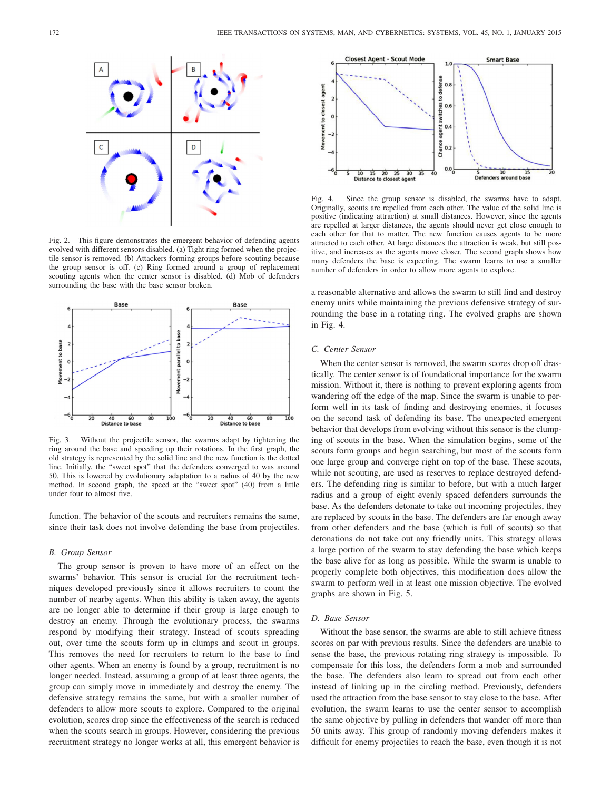

Fig. 2. This figure demonstrates the emergent behavior of defending agents evolved with different sensors disabled. (a) Tight ring formed when the projectile sensor is removed. (b) Attackers forming groups before scouting because the group sensor is off. (c) Ring formed around a group of replacement scouting agents when the center sensor is disabled. (d) Mob of defenders surrounding the base with the base sensor broken.



Fig. 3. Without the projectile sensor, the swarms adapt by tightening the ring around the base and speeding up their rotations. In the first graph, the old strategy is represented by the solid line and the new function is the dotted line. Initially, the "sweet spot" that the defenders converged to was around 50. This is lowered by evolutionary adaptation to a radius of 40 by the new method. In second graph, the speed at the "sweet spot" (40) from a little under four to almost five.

function. The behavior of the scouts and recruiters remains the same, since their task does not involve defending the base from projectiles.

#### *B. Group Sensor*

The group sensor is proven to have more of an effect on the swarms' behavior. This sensor is crucial for the recruitment techniques developed previously since it allows recruiters to count the number of nearby agents. When this ability is taken away, the agents are no longer able to determine if their group is large enough to destroy an enemy. Through the evolutionary process, the swarms respond by modifying their strategy. Instead of scouts spreading out, over time the scouts form up in clumps and scout in groups. This removes the need for recruiters to return to the base to find other agents. When an enemy is found by a group, recruitment is no longer needed. Instead, assuming a group of at least three agents, the group can simply move in immediately and destroy the enemy. The defensive strategy remains the same, but with a smaller number of defenders to allow more scouts to explore. Compared to the original evolution, scores drop since the effectiveness of the search is reduced when the scouts search in groups. However, considering the previous recruitment strategy no longer works at all, this emergent behavior is



Fig. 4. Since the group sensor is disabled, the swarms have to adapt. Originally, scouts are repelled from each other. The value of the solid line is positive (indicating attraction) at small distances. However, since the agents are repelled at larger distances, the agents should never get close enough to each other for that to matter. The new function causes agents to be more attracted to each other. At large distances the attraction is weak, but still positive, and increases as the agents move closer. The second graph shows how many defenders the base is expecting. The swarm learns to use a smaller number of defenders in order to allow more agents to explore.

a reasonable alternative and allows the swarm to still find and destroy enemy units while maintaining the previous defensive strategy of surrounding the base in a rotating ring. The evolved graphs are shown in Fig. 4.

### *C. Center Sensor*

When the center sensor is removed, the swarm scores drop off drastically. The center sensor is of foundational importance for the swarm mission. Without it, there is nothing to prevent exploring agents from wandering off the edge of the map. Since the swarm is unable to perform well in its task of finding and destroying enemies, it focuses on the second task of defending its base. The unexpected emergent behavior that develops from evolving without this sensor is the clumping of scouts in the base. When the simulation begins, some of the scouts form groups and begin searching, but most of the scouts form one large group and converge right on top of the base. These scouts, while not scouting, are used as reserves to replace destroyed defenders. The defending ring is similar to before, but with a much larger radius and a group of eight evenly spaced defenders surrounds the base. As the defenders detonate to take out incoming projectiles, they are replaced by scouts in the base. The defenders are far enough away from other defenders and the base (which is full of scouts) so that detonations do not take out any friendly units. This strategy allows a large portion of the swarm to stay defending the base which keeps the base alive for as long as possible. While the swarm is unable to properly complete both objectives, this modification does allow the swarm to perform well in at least one mission objective. The evolved graphs are shown in Fig. 5.

## *D. Base Sensor*

Without the base sensor, the swarms are able to still achieve fitness scores on par with previous results. Since the defenders are unable to sense the base, the previous rotating ring strategy is impossible. To compensate for this loss, the defenders form a mob and surrounded the base. The defenders also learn to spread out from each other instead of linking up in the circling method. Previously, defenders used the attraction from the base sensor to stay close to the base. After evolution, the swarm learns to use the center sensor to accomplish the same objective by pulling in defenders that wander off more than 50 units away. This group of randomly moving defenders makes it difficult for enemy projectiles to reach the base, even though it is not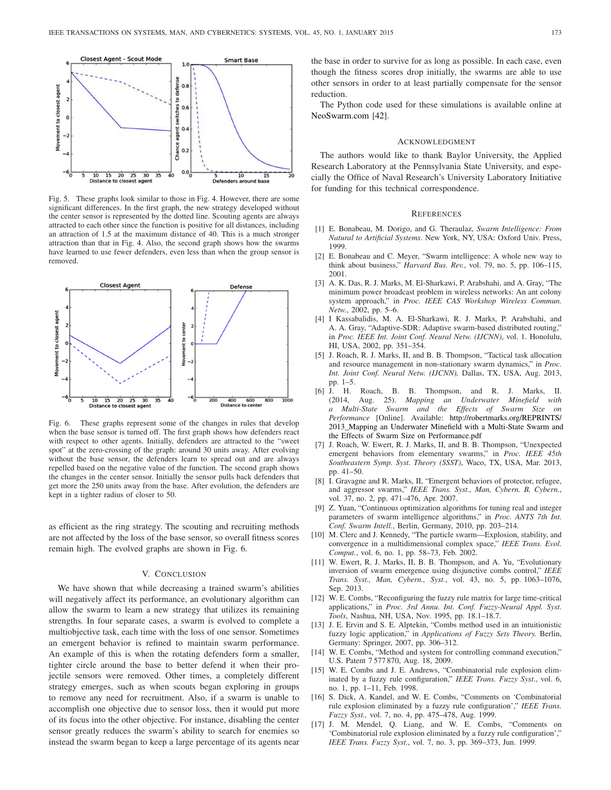

Fig. 5. These graphs look similar to those in Fig. 4. However, there are some significant differences. In the first graph, the new strategy developed without the center sensor is represented by the dotted line. Scouting agents are always attracted to each other since the function is positive for all distances, including an attraction of 1.5 at the maximum distance of 40. This is a much stronger attraction than that in Fig. 4. Also, the second graph shows how the swarms have learned to use fewer defenders, even less than when the group sensor is removed.



Fig. 6. These graphs represent some of the changes in rules that develop when the base sensor is turned off. The first graph shows how defenders react with respect to other agents. Initially, defenders are attracted to the "sweet spot" at the zero-crossing of the graph: around 30 units away. After evolving without the base sensor, the defenders learn to spread out and are always repelled based on the negative value of the function. The second graph shows the changes in the center sensor. Initially the sensor pulls back defenders that get more the 250 units away from the base. After evolution, the defenders are kept in a tighter radius of closer to 50.

as efficient as the ring strategy. The scouting and recruiting methods are not affected by the loss of the base sensor, so overall fitness scores remain high. The evolved graphs are shown in Fig. 6.

# V. CONCLUSION

We have shown that while decreasing a trained swarm's abilities will negatively affect its performance, an evolutionary algorithm can allow the swarm to learn a new strategy that utilizes its remaining strengths*.* In four separate cases, a swarm is evolved to complete a multiobjective task, each time with the loss of one sensor. Sometimes an emergent behavior is refined to maintain swarm performance. An example of this is when the rotating defenders form a smaller, tighter circle around the base to better defend it when their projectile sensors were removed. Other times, a completely different strategy emerges, such as when scouts began exploring in groups to remove any need for recruitment. Also, if a swarm is unable to accomplish one objective due to sensor loss, then it would put more of its focus into the other objective. For instance, disabling the center sensor greatly reduces the swarm's ability to search for enemies so instead the swarm began to keep a large percentage of its agents near

the base in order to survive for as long as possible. In each case, even though the fitness scores drop initially, the swarms are able to use other sensors in order to at least partially compensate for the sensor reduction.

The Python code used for these simulations is available online at NeoSwarm.com [42].

#### ACKNOWLEDGMENT

The authors would like to thank Baylor University, the Applied Research Laboratory at the Pennsylvania State University, and especially the Office of Naval Research's University Laboratory Initiative for funding for this technical correspondence.

#### **REFERENCES**

- [1] E. Bonabeau, M. Dorigo, and G. Theraulaz, *Swarm Intelligence: From Natural to Artificial Systems*. New York, NY, USA: Oxford Univ. Press, 1999.
- [2] E. Bonabeau and C. Meyer, "Swarm intelligence: A whole new way to think about business," *Harvard Bus. Rev.*, vol. 79, no. 5, pp. 106–115, 2001.
- [3] A. K. Das, R. J. Marks, M. El-Sharkawi, P. Arabshahi, and A. Gray, "The minimum power broadcast problem in wireless networks: An ant colony system approach," in *Proc. IEEE CAS Workshop Wireless Commun. Netw.*, 2002, pp. 5–6.
- [4] I Kassabalidis, M. A. El-Sharkawi, R. J. Marks, P. Arabshahi, and A. A. Gray, "Adaptive-SDR: Adaptive swarm-based distributed routing," in *Proc. IEEE Int. Joint Conf. Neural Netw. (IJCNN)*, vol. 1. Honolulu, HI, USA, 2002, pp. 351–354.
- [5] J. Roach, R. J. Marks, II, and B. B. Thompson, "Tactical task allocation and resource management in non-stationary swarm dynamics," in *Proc. Int. Joint Conf. Neural Netw. (IJCNN),* Dallas, TX, USA, Aug. 2013, pp. 1–5.
- [6] J. H. Roach, B. B. Thompson, and R. J. Marks, II. (2014, Aug. 25). *Mapping an Underwater Minefield with a Multi-State Swarm and the Effects of Swarm Size on Performance* [Online]. Available: http://robertmarks.org/REPRINTS/ 2013\_Mapping an Underwater Minefield with a Multi-State Swarm and the Effects of Swarm Size on Performance.pdf
- [7] J. Roach, W. Ewert, R. J. Marks, II, and B. B. Thompson, "Unexpected emergent behaviors from elementary swarms," in *Proc. IEEE 45th Southeastern Symp. Syst. Theory (SSST)*, Waco, TX, USA, Mar. 2013, pp. 41–50.
- [8] I. Gravagne and R. Marks, II, "Emergent behaviors of protector, refugee, and aggressor swarms," *IEEE Trans. Syst., Man, Cybern. B, Cybern.*, vol. 37, no. 2, pp. 471–476, Apr. 2007.
- [9] Z. Yuan, "Continuous optimization algorithms for tuning real and integer parameters of swarm intelligence algorithms," in *Proc. ANTS 7th Int. Conf. Swarm Intell.*, Berlin, Germany, 2010, pp. 203–214.
- [10] M. Clerc and J. Kennedy, "The particle swarm-Explosion, stability, and convergence in a multidimensional complex space," *IEEE Trans. Evol. Comput.*, vol. 6, no. 1, pp. 58–73, Feb. 2002.
- [11] W. Ewert, R. J. Marks, II, B. B. Thompson, and A. Yu, "Evolutionary inversion of swarm emergence using disjunctive combs control," *IEEE Trans. Syst., Man, Cybern., Syst.*, vol. 43, no. 5, pp. 1063–1076, Sep. 2013.
- [12] W. E. Combs, "Reconfiguring the fuzzy rule matrix for large time-critical applications," in *Proc. 3rd Annu. Int. Conf. Fuzzy-Neural Appl. Syst. Tools*, Nashua, NH, USA, Nov. 1995, pp. 18.1–18.7.
- [13] J. E. Ervin and S. E. Alptekin, "Combs method used in an intuitionistic fuzzy logic application," in *Applications of Fuzzy Sets Theory.* Berlin, Germany: Springer, 2007, pp. 306–312.
- [14] W. E. Combs, "Method and system for controlling command execution," U.S. Patent 7 577 870, Aug. 18, 2009.
- [15] W. E. Combs and J. E. Andrews, "Combinatorial rule explosion eliminated by a fuzzy rule configuration," *IEEE Trans. Fuzzy Syst*., vol. 6, no. 1, pp. 1–11, Feb. 1998.
- [16] S. Dick, A. Kandel, and W. E. Combs, "Comments on 'Combinatorial rule explosion eliminated by a fuzzy rule configuration'," *IEEE Trans. Fuzzy Syst.,* vol. 7, no. 4, pp. 475–478, Aug. 1999.
- [17] J. M. Mendel, Q. Liang, and W. E. Combs, "Comments on 'Combinatorial rule explosion eliminated by a fuzzy rule configuration'," *IEEE Trans. Fuzzy Syst.*, vol. 7, no. 3, pp. 369–373, Jun. 1999.